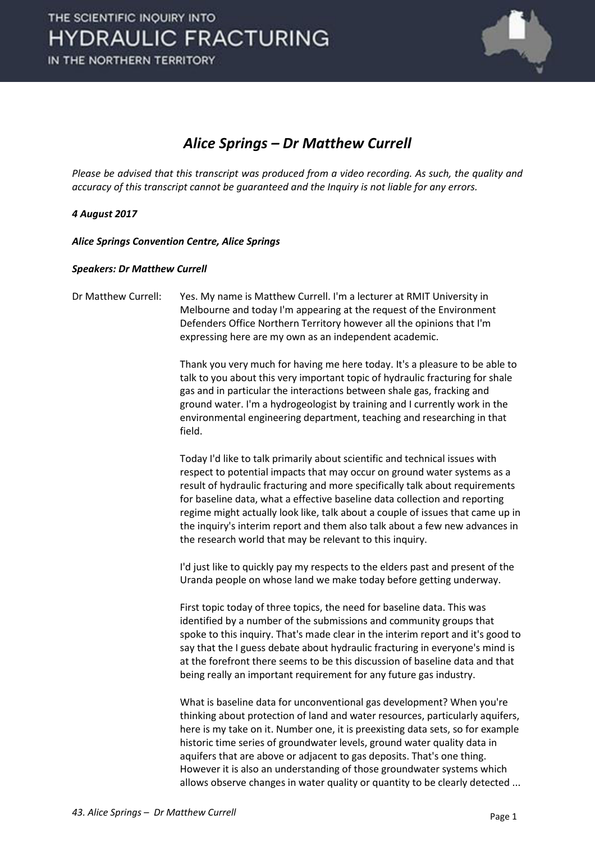

#### *Alice Springs – Dr Matthew Currell*

*Please be advised that this transcript was produced from a video recording. As such, the quality and accuracy of this transcript cannot be guaranteed and the Inquiry is not liable for any errors.* 

#### *4 August 2017*

*Alice Springs Convention Centre, Alice Springs* 

#### *Speakers: Dr Matthew Currell*

Dr Matthew Currell: Yes. My name is Matthew Currell. I'm a lecturer at RMIT University in Melbourne and today I'm appearing at the request of the Environment Defenders Office Northern Territory however all the opinions that I'm expressing here are my own as an independent academic.

> Thank you very much for having me here today. It's a pleasure to be able to talk to you about this very important topic of hydraulic fracturing for shale gas and in particular the interactions between shale gas, fracking and ground water. I'm a hydrogeologist by training and I currently work in the environmental engineering department, teaching and researching in that field.

 Today I'd like to talk primarily about scientific and technical issues with respect to potential impacts that may occur on ground water systems as a result of hydraulic fracturing and more specifically talk about requirements for baseline data, what a effective baseline data collection and reporting regime might actually look like, talk about a couple of issues that came up in the inquiry's interim report and them also talk about a few new advances in the research world that may be relevant to this inquiry.

 I'd just like to quickly pay my respects to the elders past and present of the Uranda people on whose land we make today before getting underway.

 First topic today of three topics, the need for baseline data. This was identified by a number of the submissions and community groups that spoke to this inquiry. That's made clear in the interim report and it's good to say that the I guess debate about hydraulic fracturing in everyone's mind is at the forefront there seems to be this discussion of baseline data and that being really an important requirement for any future gas industry.

 What is baseline data for unconventional gas development? When you're thinking about protection of land and water resources, particularly aquifers, here is my take on it. Number one, it is preexisting data sets, so for example historic time series of groundwater levels, ground water quality data in aquifers that are above or adjacent to gas deposits. That's one thing. However it is also an understanding of those groundwater systems which allows observe changes in water quality or quantity to be clearly detected ...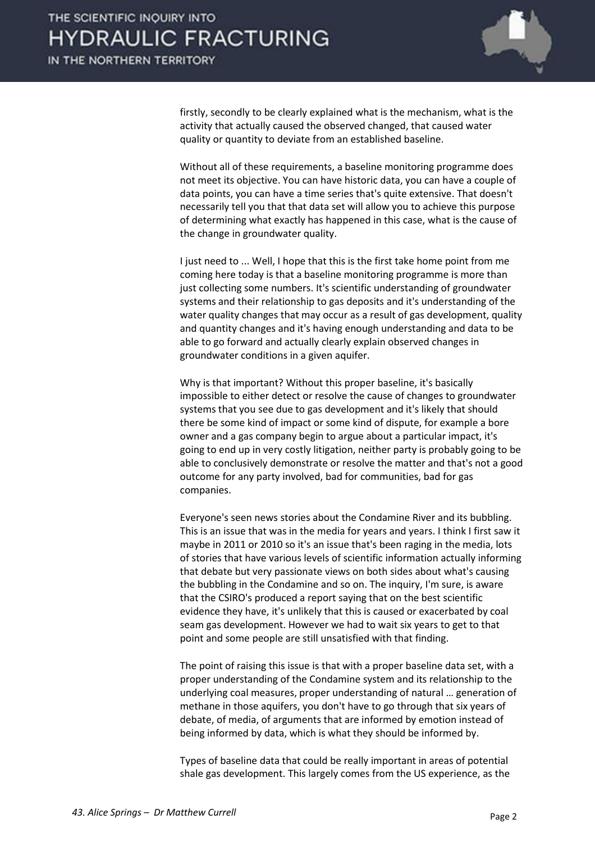

firstly, secondly to be clearly explained what is the mechanism, what is the activity that actually caused the observed changed, that caused water quality or quantity to deviate from an established baseline.

 Without all of these requirements, a baseline monitoring programme does not meet its objective. You can have historic data, you can have a couple of data points, you can have a time series that's quite extensive. That doesn't necessarily tell you that that data set will allow you to achieve this purpose of determining what exactly has happened in this case, what is the cause of the change in groundwater quality.

 I just need to ... Well, I hope that this is the first take home point from me coming here today is that a baseline monitoring programme is more than just collecting some numbers. It's scientific understanding of groundwater systems and their relationship to gas deposits and it's understanding of the water quality changes that may occur as a result of gas development, quality and quantity changes and it's having enough understanding and data to be able to go forward and actually clearly explain observed changes in groundwater conditions in a given aquifer.

 Why is that important? Without this proper baseline, it's basically impossible to either detect or resolve the cause of changes to groundwater systems that you see due to gas development and it's likely that should there be some kind of impact or some kind of dispute, for example a bore owner and a gas company begin to argue about a particular impact, it's going to end up in very costly litigation, neither party is probably going to be able to conclusively demonstrate or resolve the matter and that's not a good outcome for any party involved, bad for communities, bad for gas companies.

 Everyone's seen news stories about the Condamine River and its bubbling. This is an issue that was in the media for years and years. I think I first saw it maybe in 2011 or 2010 so it's an issue that's been raging in the media, lots of stories that have various levels of scientific information actually informing that debate but very passionate views on both sides about what's causing the bubbling in the Condamine and so on. The inquiry, I'm sure, is aware that the CSIRO's produced a report saying that on the best scientific evidence they have, it's unlikely that this is caused or exacerbated by coal seam gas development. However we had to wait six years to get to that point and some people are still unsatisfied with that finding.

 The point of raising this issue is that with a proper baseline data set, with a proper understanding of the Condamine system and its relationship to the underlying coal measures, proper understanding of natural ... generation of methane in those aquifers, you don't have to go through that six years of debate, of media, of arguments that are informed by emotion instead of being informed by data, which is what they should be informed by.

 Types of baseline data that could be really important in areas of potential shale gas development. This largely comes from the US experience, as the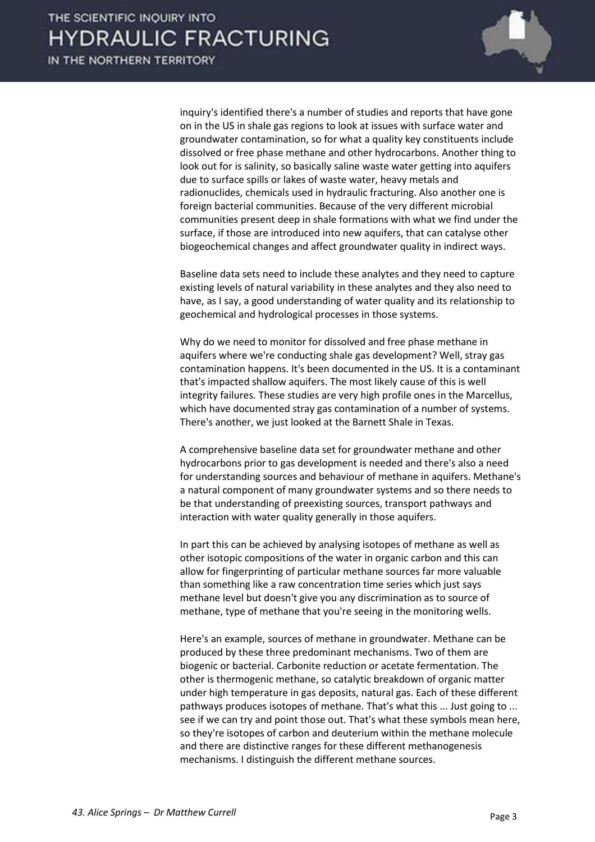

inquiry's identified there's a number of studies and reports that have gone on in the US in shale gas regions to look at issues with surface water and groundwater contamination, so for what a quality key constituents include dissolved or free phase methane and other hydrocarbons. Another thing to look out for is salinity, so basically saline waste water getting into aquifers due to surface spills or lakes of waste water, heavy metals and radionuclides, chemicals used in hydraulic fracturing. Also another one is foreign bacterial communities. Because of the very different microbial communities present deep in shale formations with what we find under the surface, if those are introduced into new aquifers, that can catalyse other biogeochemical changes and affect groundwater quality in indirect ways.

 Baseline data sets need to include these analytes and they need to capture existing levels of natural variability in these analytes and they also need to have, as I say, a good understanding of water quality and its relationship to geochemical and hydrological processes in those systems.

 Why do we need to monitor for dissolved and free phase methane in aquifers where we're conducting shale gas development? Well, stray gas contamination happens. It's been documented in the US. It is a contaminant that's impacted shallow aquifers. The most likely cause of this is well integrity failures. These studies are very high profile ones in the Marcellus, which have documented stray gas contamination of a number of systems. There's another, we just looked at the Barnett Shale in Texas.

 A comprehensive baseline data set for groundwater methane and other hydrocarbons prior to gas development is needed and there's also a need for understanding sources and behaviour of methane in aquifers. Methane's a natural component of many groundwater systems and so there needs to be that understanding of preexisting sources, transport pathways and interaction with water quality generally in those aquifers.

 In part this can be achieved by analysing isotopes of methane as well as other isotopic compositions of the water in organic carbon and this can allow for fingerprinting of particular methane sources far more valuable than something like a raw concentration time series which just says methane level but doesn't give you any discrimination as to source of methane, type of methane that you're seeing in the monitoring wells.

 Here's an example, sources of methane in groundwater. Methane can be produced by these three predominant mechanisms. Two of them are biogenic or bacterial. Carbonite reduction or acetate fermentation. The other is thermogenic methane, so catalytic breakdown of organic matter under high temperature in gas deposits, natural gas. Each of these different pathways produces isotopes of methane. That's what this ... Just going to ... see if we can try and point those out. That's what these symbols mean here, so they're isotopes of carbon and deuterium within the methane molecule and there are distinctive ranges for these different methanogenesis mechanisms. I distinguish the different methane sources.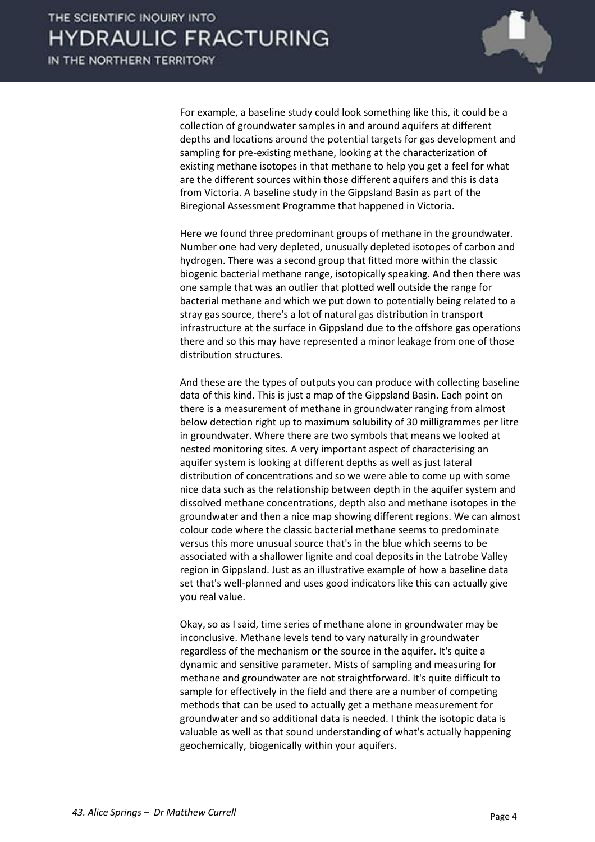

 For example, a baseline study could look something like this, it could be a collection of groundwater samples in and around aquifers at different depths and locations around the potential targets for gas development and sampling for pre-existing methane, looking at the characterization of existing methane isotopes in that methane to help you get a feel for what are the different sources within those different aquifers and this is data from Victoria. A baseline study in the Gippsland Basin as part of the Biregional Assessment Programme that happened in Victoria.

 Here we found three predominant groups of methane in the groundwater. Number one had very depleted, unusually depleted isotopes of carbon and hydrogen. There was a second group that fitted more within the classic biogenic bacterial methane range, isotopically speaking. And then there was one sample that was an outlier that plotted well outside the range for bacterial methane and which we put down to potentially being related to a stray gas source, there's a lot of natural gas distribution in transport infrastructure at the surface in Gippsland due to the offshore gas operations there and so this may have represented a minor leakage from one of those distribution structures.

 And these are the types of outputs you can produce with collecting baseline data of this kind. This is just a map of the Gippsland Basin. Each point on there is a measurement of methane in groundwater ranging from almost below detection right up to maximum solubility of 30 milligrammes per litre in groundwater. Where there are two symbols that means we looked at nested monitoring sites. A very important aspect of characterising an aquifer system is looking at different depths as well as just lateral distribution of concentrations and so we were able to come up with some nice data such as the relationship between depth in the aquifer system and dissolved methane concentrations, depth also and methane isotopes in the groundwater and then a nice map showing different regions. We can almost colour code where the classic bacterial methane seems to predominate versus this more unusual source that's in the blue which seems to be associated with a shallower lignite and coal deposits in the Latrobe Valley region in Gippsland. Just as an illustrative example of how a baseline data set that's well-planned and uses good indicators like this can actually give you real value.

 Okay, so as I said, time series of methane alone in groundwater may be inconclusive. Methane levels tend to vary naturally in groundwater regardless of the mechanism or the source in the aquifer. It's quite a dynamic and sensitive parameter. Mists of sampling and measuring for methane and groundwater are not straightforward. It's quite difficult to sample for effectively in the field and there are a number of competing methods that can be used to actually get a methane measurement for groundwater and so additional data is needed. I think the isotopic data is valuable as well as that sound understanding of what's actually happening geochemically, biogenically within your aquifers.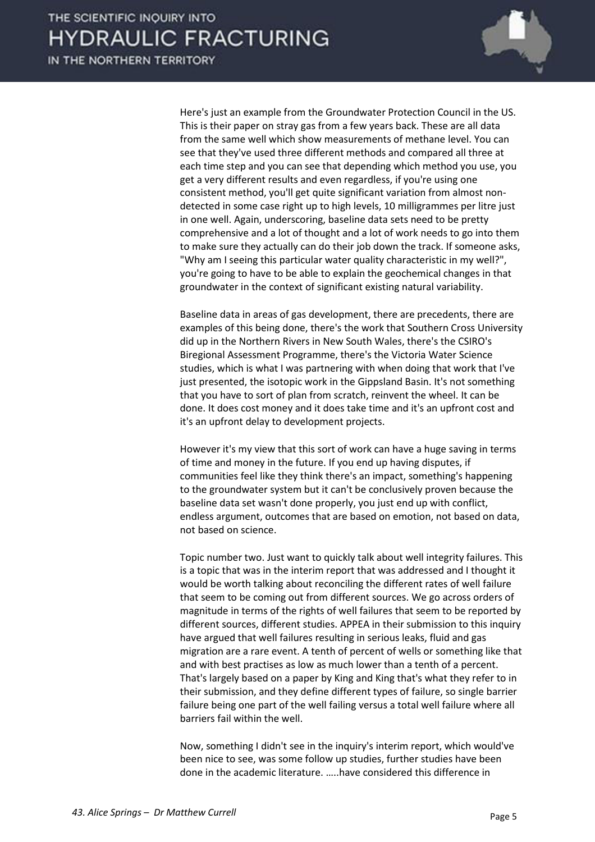

 Here's just an example from the Groundwater Protection Council in the US. This is their paper on stray gas from a few years back. These are all data from the same well which show measurements of methane level. You can see that they've used three different methods and compared all three at each time step and you can see that depending which method you use, you get a very different results and even regardless, if you're using one consistent method, you'll get quite significant variation from almost nondetected in some case right up to high levels, 10 milligrammes per litre just in one well. Again, underscoring, baseline data sets need to be pretty comprehensive and a lot of thought and a lot of work needs to go into them to make sure they actually can do their job down the track. If someone asks, "Why am I seeing this particular water quality characteristic in my well?", you're going to have to be able to explain the geochemical changes in that groundwater in the context of significant existing natural variability.

 Baseline data in areas of gas development, there are precedents, there are examples of this being done, there's the work that Southern Cross University did up in the Northern Rivers in New South Wales, there's the CSIRO's Biregional Assessment Programme, there's the Victoria Water Science studies, which is what I was partnering with when doing that work that I've just presented, the isotopic work in the Gippsland Basin. It's not something that you have to sort of plan from scratch, reinvent the wheel. It can be done. It does cost money and it does take time and it's an upfront cost and it's an upfront delay to development projects.

 However it's my view that this sort of work can have a huge saving in terms of time and money in the future. If you end up having disputes, if communities feel like they think there's an impact, something's happening to the groundwater system but it can't be conclusively proven because the baseline data set wasn't done properly, you just end up with conflict, endless argument, outcomes that are based on emotion, not based on data, not based on science.

 Topic number two. Just want to quickly talk about well integrity failures. This is a topic that was in the interim report that was addressed and I thought it would be worth talking about reconciling the different rates of well failure that seem to be coming out from different sources. We go across orders of magnitude in terms of the rights of well failures that seem to be reported by different sources, different studies. APPEA in their submission to this inquiry have argued that well failures resulting in serious leaks, fluid and gas migration are a rare event. A tenth of percent of wells or something like that and with best practises as low as much lower than a tenth of a percent. That's largely based on a paper by King and King that's what they refer to in their submission, and they define different types of failure, so single barrier failure being one part of the well failing versus a total well failure where all barriers fail within the well.

 Now, something I didn't see in the inquiry's interim report, which would've been nice to see, was some follow up studies, further studies have been done in the academic literature. .....have considered this difference in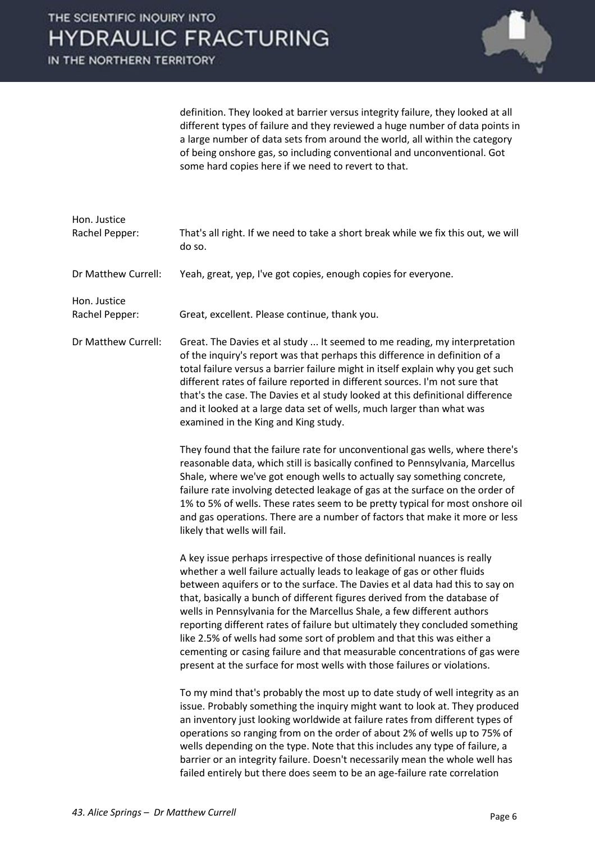

definition. They looked at barrier versus integrity failure, they looked at all different types of failure and they reviewed a huge number of data points in a large number of data sets from around the world, all within the category of being onshore gas, so including conventional and unconventional. Got some hard copies here if we need to revert to that.

| Hon. Justice<br>Rachel Pepper: | That's all right. If we need to take a short break while we fix this out, we will<br>do so.                                                                                                                                                                                                                                                                                                                                                                                                                                                                                                                                                                                                                    |
|--------------------------------|----------------------------------------------------------------------------------------------------------------------------------------------------------------------------------------------------------------------------------------------------------------------------------------------------------------------------------------------------------------------------------------------------------------------------------------------------------------------------------------------------------------------------------------------------------------------------------------------------------------------------------------------------------------------------------------------------------------|
| Dr Matthew Currell:            | Yeah, great, yep, I've got copies, enough copies for everyone.                                                                                                                                                                                                                                                                                                                                                                                                                                                                                                                                                                                                                                                 |
| Hon. Justice<br>Rachel Pepper: | Great, excellent. Please continue, thank you.                                                                                                                                                                                                                                                                                                                                                                                                                                                                                                                                                                                                                                                                  |
| Dr Matthew Currell:            | Great. The Davies et al study  It seemed to me reading, my interpretation<br>of the inquiry's report was that perhaps this difference in definition of a<br>total failure versus a barrier failure might in itself explain why you get such<br>different rates of failure reported in different sources. I'm not sure that<br>that's the case. The Davies et al study looked at this definitional difference<br>and it looked at a large data set of wells, much larger than what was<br>examined in the King and King study.                                                                                                                                                                                  |
|                                | They found that the failure rate for unconventional gas wells, where there's<br>reasonable data, which still is basically confined to Pennsylvania, Marcellus<br>Shale, where we've got enough wells to actually say something concrete,<br>failure rate involving detected leakage of gas at the surface on the order of<br>1% to 5% of wells. These rates seem to be pretty typical for most onshore oil<br>and gas operations. There are a number of factors that make it more or less<br>likely that wells will fail.                                                                                                                                                                                      |
|                                | A key issue perhaps irrespective of those definitional nuances is really<br>whether a well failure actually leads to leakage of gas or other fluids<br>between aquifers or to the surface. The Davies et al data had this to say on<br>that, basically a bunch of different figures derived from the database of<br>wells in Pennsylvania for the Marcellus Shale, a few different authors<br>reporting different rates of failure but ultimately they concluded something<br>like 2.5% of wells had some sort of problem and that this was either a<br>cementing or casing failure and that measurable concentrations of gas were<br>present at the surface for most wells with those failures or violations. |
|                                | To my mind that's probably the most up to date study of well integrity as an<br>issue. Probably something the inquiry might want to look at. They produced<br>an inventory just looking worldwide at failure rates from different types of<br>operations so ranging from on the order of about 2% of wells up to 75% of<br>wells depending on the type. Note that this includes any type of failure, a<br>barrier or an integrity failure. Doesn't necessarily mean the whole well has<br>failed entirely but there does seem to be an age-failure rate correlation                                                                                                                                            |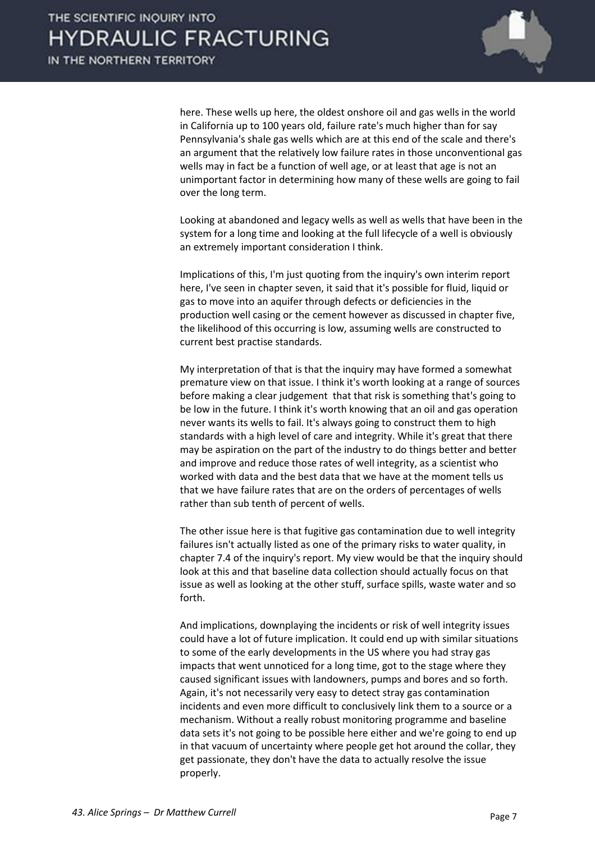

here. These wells up here, the oldest onshore oil and gas wells in the world in California up to 100 years old, failure rate's much higher than for say Pennsylvania's shale gas wells which are at this end of the scale and there's an argument that the relatively low failure rates in those unconventional gas wells may in fact be a function of well age, or at least that age is not an unimportant factor in determining how many of these wells are going to fail over the long term.

 Looking at abandoned and legacy wells as well as wells that have been in the system for a long time and looking at the full lifecycle of a well is obviously an extremely important consideration I think.

 Implications of this, I'm just quoting from the inquiry's own interim report here, I've seen in chapter seven, it said that it's possible for fluid, liquid or gas to move into an aquifer through defects or deficiencies in the production well casing or the cement however as discussed in chapter five, the likelihood of this occurring is low, assuming wells are constructed to current best practise standards.

 My interpretation of that is that the inquiry may have formed a somewhat premature view on that issue. I think it's worth looking at a range of sources before making a clear judgement that that risk is something that's going to be low in the future. I think it's worth knowing that an oil and gas operation never wants its wells to fail. It's always going to construct them to high standards with a high level of care and integrity. While it's great that there may be aspiration on the part of the industry to do things better and better and improve and reduce those rates of well integrity, as a scientist who worked with data and the best data that we have at the moment tells us that we have failure rates that are on the orders of percentages of wells rather than sub tenth of percent of wells.

 The other issue here is that fugitive gas contamination due to well integrity failures isn't actually listed as one of the primary risks to water quality, in chapter 7.4 of the inquiry's report. My view would be that the inquiry should look at this and that baseline data collection should actually focus on that issue as well as looking at the other stuff, surface spills, waste water and so forth.

 And implications, downplaying the incidents or risk of well integrity issues could have a lot of future implication. It could end up with similar situations to some of the early developments in the US where you had stray gas impacts that went unnoticed for a long time, got to the stage where they caused significant issues with landowners, pumps and bores and so forth. Again, it's not necessarily very easy to detect stray gas contamination incidents and even more difficult to conclusively link them to a source or a mechanism. Without a really robust monitoring programme and baseline data sets it's not going to be possible here either and we're going to end up in that vacuum of uncertainty where people get hot around the collar, they get passionate, they don't have the data to actually resolve the issue properly.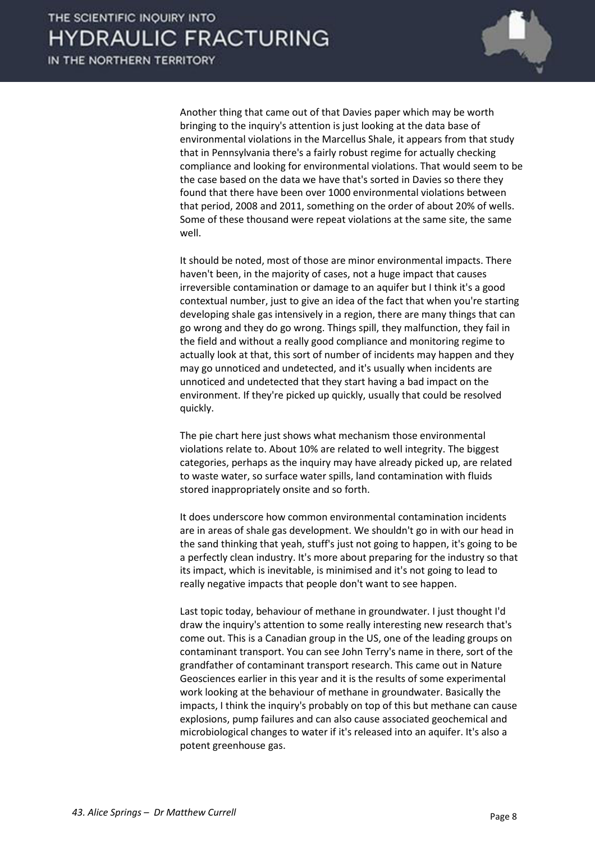

 Another thing that came out of that Davies paper which may be worth bringing to the inquiry's attention is just looking at the data base of environmental violations in the Marcellus Shale, it appears from that study that in Pennsylvania there's a fairly robust regime for actually checking compliance and looking for environmental violations. That would seem to be the case based on the data we have that's sorted in Davies so there they found that there have been over 1000 environmental violations between that period, 2008 and 2011, something on the order of about 20% of wells. Some of these thousand were repeat violations at the same site, the same well.

 It should be noted, most of those are minor environmental impacts. There haven't been, in the majority of cases, not a huge impact that causes irreversible contamination or damage to an aquifer but I think it's a good contextual number, just to give an idea of the fact that when you're starting developing shale gas intensively in a region, there are many things that can go wrong and they do go wrong. Things spill, they malfunction, they fail in the field and without a really good compliance and monitoring regime to actually look at that, this sort of number of incidents may happen and they may go unnoticed and undetected, and it's usually when incidents are unnoticed and undetected that they start having a bad impact on the environment. If they're picked up quickly, usually that could be resolved quickly.

 The pie chart here just shows what mechanism those environmental violations relate to. About 10% are related to well integrity. The biggest categories, perhaps as the inquiry may have already picked up, are related to waste water, so surface water spills, land contamination with fluids stored inappropriately onsite and so forth.

 It does underscore how common environmental contamination incidents are in areas of shale gas development. We shouldn't go in with our head in the sand thinking that yeah, stuff's just not going to happen, it's going to be a perfectly clean industry. It's more about preparing for the industry so that its impact, which is inevitable, is minimised and it's not going to lead to really negative impacts that people don't want to see happen.

 Last topic today, behaviour of methane in groundwater. I just thought I'd draw the inquiry's attention to some really interesting new research that's come out. This is a Canadian group in the US, one of the leading groups on contaminant transport. You can see John Terry's name in there, sort of the grandfather of contaminant transport research. This came out in Nature Geosciences earlier in this year and it is the results of some experimental work looking at the behaviour of methane in groundwater. Basically the impacts, I think the inquiry's probably on top of this but methane can cause explosions, pump failures and can also cause associated geochemical and microbiological changes to water if it's released into an aquifer. It's also a potent greenhouse gas.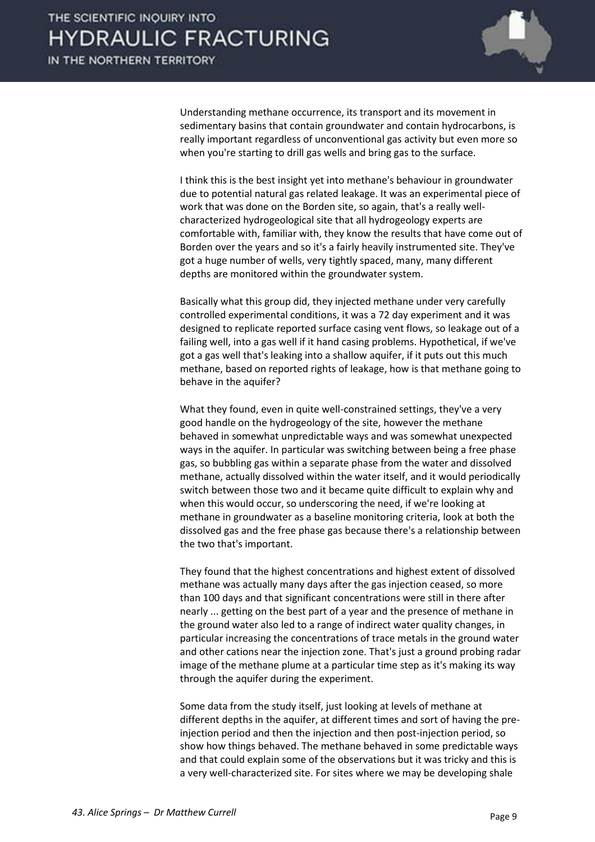

 Understanding methane occurrence, its transport and its movement in sedimentary basins that contain groundwater and contain hydrocarbons, is really important regardless of unconventional gas activity but even more so when you're starting to drill gas wells and bring gas to the surface.

 I think this is the best insight yet into methane's behaviour in groundwater due to potential natural gas related leakage. It was an experimental piece of work that was done on the Borden site, so again, that's a really wellcharacterized hydrogeological site that all hydrogeology experts are comfortable with, familiar with, they know the results that have come out of Borden over the years and so it's a fairly heavily instrumented site. They've got a huge number of wells, very tightly spaced, many, many different depths are monitored within the groundwater system.

 Basically what this group did, they injected methane under very carefully controlled experimental conditions, it was a 72 day experiment and it was designed to replicate reported surface casing vent flows, so leakage out of a failing well, into a gas well if it hand casing problems. Hypothetical, if we've got a gas well that's leaking into a shallow aquifer, if it puts out this much methane, based on reported rights of leakage, how is that methane going to behave in the aquifer?

 What they found, even in quite well-constrained settings, they've a very good handle on the hydrogeology of the site, however the methane behaved in somewhat unpredictable ways and was somewhat unexpected ways in the aquifer. In particular was switching between being a free phase gas, so bubbling gas within a separate phase from the water and dissolved methane, actually dissolved within the water itself, and it would periodically switch between those two and it became quite difficult to explain why and when this would occur, so underscoring the need, if we're looking at methane in groundwater as a baseline monitoring criteria, look at both the dissolved gas and the free phase gas because there's a relationship between the two that's important.

 They found that the highest concentrations and highest extent of dissolved methane was actually many days after the gas injection ceased, so more than 100 days and that significant concentrations were still in there after nearly ... getting on the best part of a year and the presence of methane in the ground water also led to a range of indirect water quality changes, in particular increasing the concentrations of trace metals in the ground water and other cations near the injection zone. That's just a ground probing radar image of the methane plume at a particular time step as it's making its way through the aquifer during the experiment.

 Some data from the study itself, just looking at levels of methane at different depths in the aquifer, at different times and sort of having the preinjection period and then the injection and then post-injection period, so show how things behaved. The methane behaved in some predictable ways and that could explain some of the observations but it was tricky and this is a very well-characterized site. For sites where we may be developing shale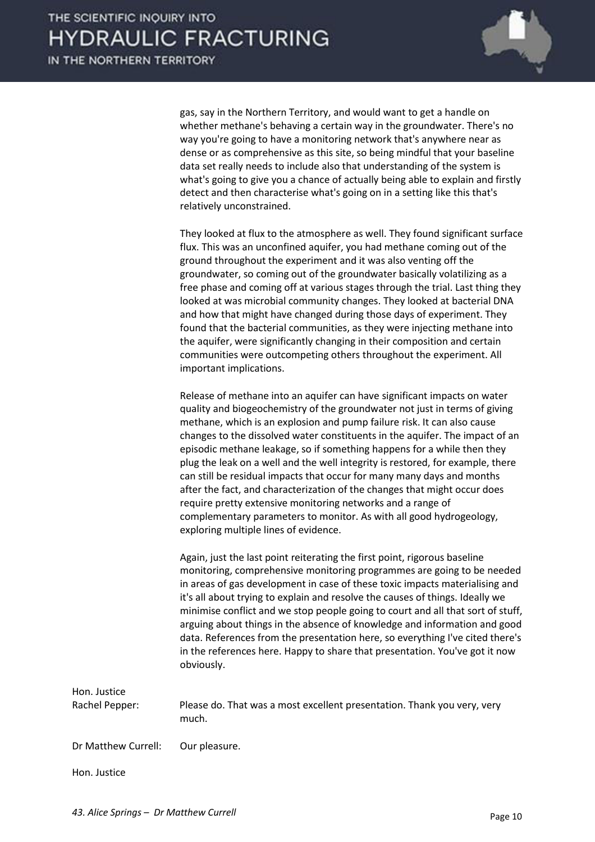

gas, say in the Northern Territory, and would want to get a handle on whether methane's behaving a certain way in the groundwater. There's no way you're going to have a monitoring network that's anywhere near as dense or as comprehensive as this site, so being mindful that your baseline data set really needs to include also that understanding of the system is what's going to give you a chance of actually being able to explain and firstly detect and then characterise what's going on in a setting like this that's relatively unconstrained.

 They looked at flux to the atmosphere as well. They found significant surface flux. This was an unconfined aquifer, you had methane coming out of the ground throughout the experiment and it was also venting off the groundwater, so coming out of the groundwater basically volatilizing as a free phase and coming off at various stages through the trial. Last thing they looked at was microbial community changes. They looked at bacterial DNA and how that might have changed during those days of experiment. They found that the bacterial communities, as they were injecting methane into the aquifer, were significantly changing in their composition and certain communities were outcompeting others throughout the experiment. All important implications.

 Release of methane into an aquifer can have significant impacts on water quality and biogeochemistry of the groundwater not just in terms of giving methane, which is an explosion and pump failure risk. It can also cause changes to the dissolved water constituents in the aquifer. The impact of an episodic methane leakage, so if something happens for a while then they plug the leak on a well and the well integrity is restored, for example, there can still be residual impacts that occur for many many days and months after the fact, and characterization of the changes that might occur does require pretty extensive monitoring networks and a range of complementary parameters to monitor. As with all good hydrogeology, exploring multiple lines of evidence.

 Again, just the last point reiterating the first point, rigorous baseline monitoring, comprehensive monitoring programmes are going to be needed in areas of gas development in case of these toxic impacts materialising and it's all about trying to explain and resolve the causes of things. Ideally we minimise conflict and we stop people going to court and all that sort of stuff, arguing about things in the absence of knowledge and information and good data. References from the presentation here, so everything I've cited there's in the references here. Happy to share that presentation. You've got it now obviously.

| Hon. Justice<br>Rachel Pepper: | Please do. That was a most excellent presentation. Thank you very, very<br>much. |
|--------------------------------|----------------------------------------------------------------------------------|
| Dr Matthew Currell:            | Our pleasure.                                                                    |
| Hon. Justice                   |                                                                                  |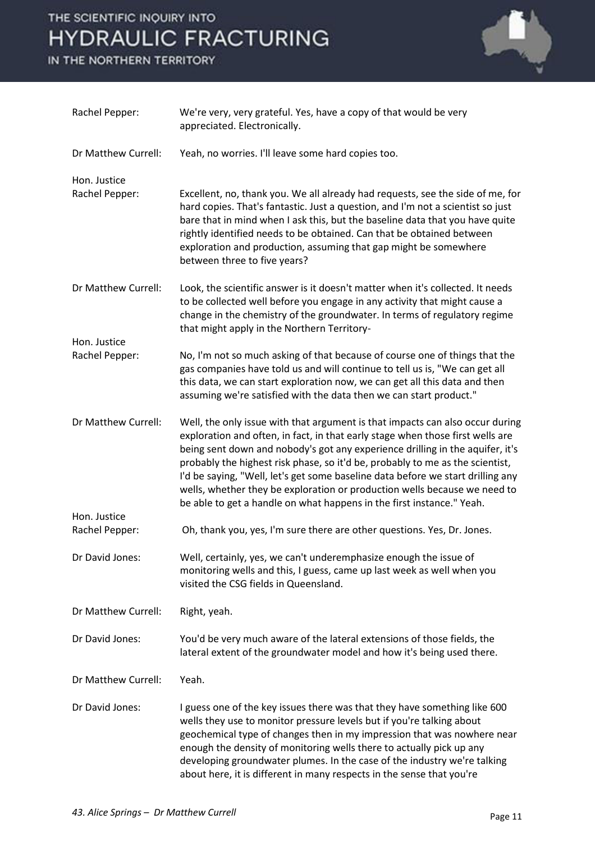

| Rachel Pepper:                 | We're very, very grateful. Yes, have a copy of that would be very<br>appreciated. Electronically.                                                                                                                                                                                                                                                                                                                                                                                                                                                                          |
|--------------------------------|----------------------------------------------------------------------------------------------------------------------------------------------------------------------------------------------------------------------------------------------------------------------------------------------------------------------------------------------------------------------------------------------------------------------------------------------------------------------------------------------------------------------------------------------------------------------------|
| Dr Matthew Currell:            | Yeah, no worries. I'll leave some hard copies too.                                                                                                                                                                                                                                                                                                                                                                                                                                                                                                                         |
| Hon. Justice<br>Rachel Pepper: | Excellent, no, thank you. We all already had requests, see the side of me, for<br>hard copies. That's fantastic. Just a question, and I'm not a scientist so just<br>bare that in mind when I ask this, but the baseline data that you have quite<br>rightly identified needs to be obtained. Can that be obtained between<br>exploration and production, assuming that gap might be somewhere<br>between three to five years?                                                                                                                                             |
| Dr Matthew Currell:            | Look, the scientific answer is it doesn't matter when it's collected. It needs<br>to be collected well before you engage in any activity that might cause a<br>change in the chemistry of the groundwater. In terms of regulatory regime<br>that might apply in the Northern Territory-                                                                                                                                                                                                                                                                                    |
| Hon. Justice<br>Rachel Pepper: | No, I'm not so much asking of that because of course one of things that the<br>gas companies have told us and will continue to tell us is, "We can get all<br>this data, we can start exploration now, we can get all this data and then<br>assuming we're satisfied with the data then we can start product."                                                                                                                                                                                                                                                             |
| Dr Matthew Currell:            | Well, the only issue with that argument is that impacts can also occur during<br>exploration and often, in fact, in that early stage when those first wells are<br>being sent down and nobody's got any experience drilling in the aquifer, it's<br>probably the highest risk phase, so it'd be, probably to me as the scientist,<br>I'd be saying, "Well, let's get some baseline data before we start drilling any<br>wells, whether they be exploration or production wells because we need to<br>be able to get a handle on what happens in the first instance." Yeah. |
| Hon. Justice<br>Rachel Pepper: | Oh, thank you, yes, I'm sure there are other questions. Yes, Dr. Jones.                                                                                                                                                                                                                                                                                                                                                                                                                                                                                                    |
| Dr David Jones:                | Well, certainly, yes, we can't underemphasize enough the issue of<br>monitoring wells and this, I guess, came up last week as well when you<br>visited the CSG fields in Queensland.                                                                                                                                                                                                                                                                                                                                                                                       |
| Dr Matthew Currell:            | Right, yeah.                                                                                                                                                                                                                                                                                                                                                                                                                                                                                                                                                               |
| Dr David Jones:                | You'd be very much aware of the lateral extensions of those fields, the<br>lateral extent of the groundwater model and how it's being used there.                                                                                                                                                                                                                                                                                                                                                                                                                          |
| Dr Matthew Currell:            | Yeah.                                                                                                                                                                                                                                                                                                                                                                                                                                                                                                                                                                      |
| Dr David Jones:                | I guess one of the key issues there was that they have something like 600<br>wells they use to monitor pressure levels but if you're talking about<br>geochemical type of changes then in my impression that was nowhere near<br>enough the density of monitoring wells there to actually pick up any<br>developing groundwater plumes. In the case of the industry we're talking<br>about here, it is different in many respects in the sense that you're                                                                                                                 |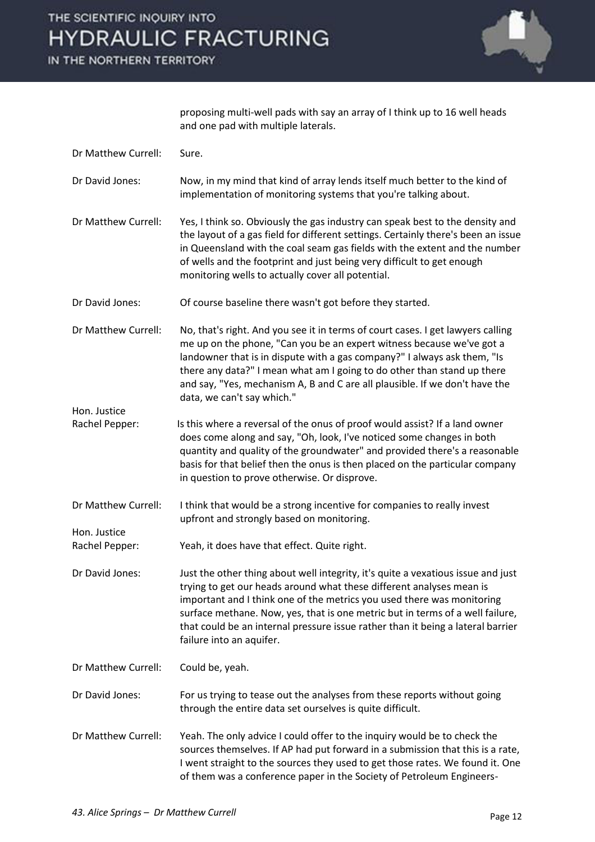

proposing multi-well pads with say an array of I think up to 16 well heads and one pad with multiple laterals.

| Dr Matthew Currell:            | Sure.                                                                                                                                                                                                                                                                                                                                                                                                                              |
|--------------------------------|------------------------------------------------------------------------------------------------------------------------------------------------------------------------------------------------------------------------------------------------------------------------------------------------------------------------------------------------------------------------------------------------------------------------------------|
| Dr David Jones:                | Now, in my mind that kind of array lends itself much better to the kind of<br>implementation of monitoring systems that you're talking about.                                                                                                                                                                                                                                                                                      |
| Dr Matthew Currell:            | Yes, I think so. Obviously the gas industry can speak best to the density and<br>the layout of a gas field for different settings. Certainly there's been an issue<br>in Queensland with the coal seam gas fields with the extent and the number<br>of wells and the footprint and just being very difficult to get enough<br>monitoring wells to actually cover all potential.                                                    |
| Dr David Jones:                | Of course baseline there wasn't got before they started.                                                                                                                                                                                                                                                                                                                                                                           |
| Dr Matthew Currell:            | No, that's right. And you see it in terms of court cases. I get lawyers calling<br>me up on the phone, "Can you be an expert witness because we've got a<br>landowner that is in dispute with a gas company?" I always ask them, "Is<br>there any data?" I mean what am I going to do other than stand up there<br>and say, "Yes, mechanism A, B and C are all plausible. If we don't have the<br>data, we can't say which."       |
| Hon. Justice<br>Rachel Pepper: | Is this where a reversal of the onus of proof would assist? If a land owner<br>does come along and say, "Oh, look, I've noticed some changes in both<br>quantity and quality of the groundwater" and provided there's a reasonable<br>basis for that belief then the onus is then placed on the particular company<br>in question to prove otherwise. Or disprove.                                                                 |
| Dr Matthew Currell:            | I think that would be a strong incentive for companies to really invest<br>upfront and strongly based on monitoring.                                                                                                                                                                                                                                                                                                               |
| Hon. Justice<br>Rachel Pepper: | Yeah, it does have that effect. Quite right.                                                                                                                                                                                                                                                                                                                                                                                       |
| Dr David Jones:                | Just the other thing about well integrity, it's quite a vexatious issue and just<br>trying to get our heads around what these different analyses mean is<br>important and I think one of the metrics you used there was monitoring<br>surface methane. Now, yes, that is one metric but in terms of a well failure,<br>that could be an internal pressure issue rather than it being a lateral barrier<br>failure into an aquifer. |
| Dr Matthew Currell:            | Could be, yeah.                                                                                                                                                                                                                                                                                                                                                                                                                    |
| Dr David Jones:                | For us trying to tease out the analyses from these reports without going<br>through the entire data set ourselves is quite difficult.                                                                                                                                                                                                                                                                                              |
| Dr Matthew Currell:            | Yeah. The only advice I could offer to the inquiry would be to check the<br>sources themselves. If AP had put forward in a submission that this is a rate,<br>I went straight to the sources they used to get those rates. We found it. One<br>of them was a conference paper in the Society of Petroleum Engineers-                                                                                                               |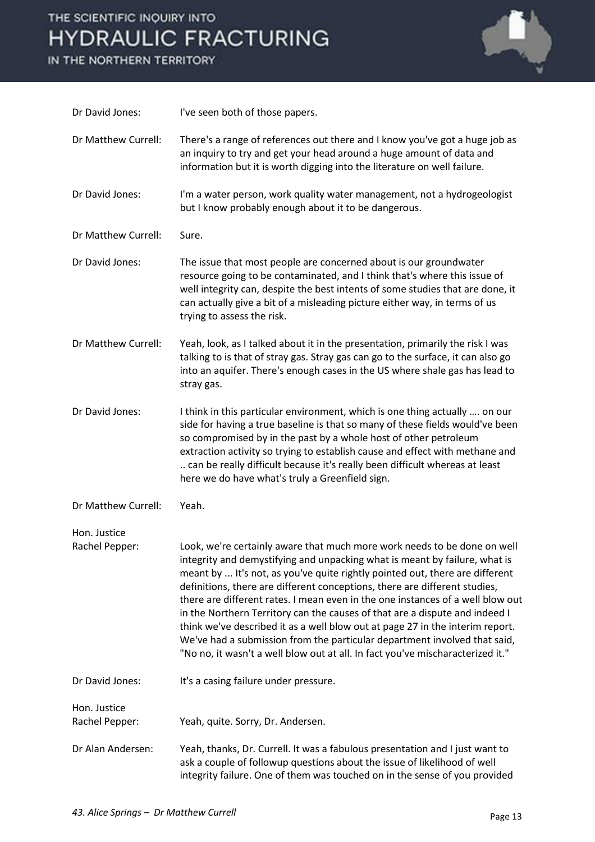

| Dr David Jones:                | I've seen both of those papers.                                                                                                                                                                                                                                                                                                                                                                                                                                                                                                                                                                                                                                                                                                       |
|--------------------------------|---------------------------------------------------------------------------------------------------------------------------------------------------------------------------------------------------------------------------------------------------------------------------------------------------------------------------------------------------------------------------------------------------------------------------------------------------------------------------------------------------------------------------------------------------------------------------------------------------------------------------------------------------------------------------------------------------------------------------------------|
| Dr Matthew Currell:            | There's a range of references out there and I know you've got a huge job as<br>an inquiry to try and get your head around a huge amount of data and<br>information but it is worth digging into the literature on well failure.                                                                                                                                                                                                                                                                                                                                                                                                                                                                                                       |
| Dr David Jones:                | I'm a water person, work quality water management, not a hydrogeologist<br>but I know probably enough about it to be dangerous.                                                                                                                                                                                                                                                                                                                                                                                                                                                                                                                                                                                                       |
| Dr Matthew Currell:            | Sure.                                                                                                                                                                                                                                                                                                                                                                                                                                                                                                                                                                                                                                                                                                                                 |
| Dr David Jones:                | The issue that most people are concerned about is our groundwater<br>resource going to be contaminated, and I think that's where this issue of<br>well integrity can, despite the best intents of some studies that are done, it<br>can actually give a bit of a misleading picture either way, in terms of us<br>trying to assess the risk.                                                                                                                                                                                                                                                                                                                                                                                          |
| Dr Matthew Currell:            | Yeah, look, as I talked about it in the presentation, primarily the risk I was<br>talking to is that of stray gas. Stray gas can go to the surface, it can also go<br>into an aquifer. There's enough cases in the US where shale gas has lead to<br>stray gas.                                                                                                                                                                                                                                                                                                                                                                                                                                                                       |
| Dr David Jones:                | I think in this particular environment, which is one thing actually  on our<br>side for having a true baseline is that so many of these fields would've been<br>so compromised by in the past by a whole host of other petroleum<br>extraction activity so trying to establish cause and effect with methane and<br>can be really difficult because it's really been difficult whereas at least<br>here we do have what's truly a Greenfield sign.                                                                                                                                                                                                                                                                                    |
| Dr Matthew Currell:            | Yeah.                                                                                                                                                                                                                                                                                                                                                                                                                                                                                                                                                                                                                                                                                                                                 |
| Hon. Justice<br>Rachel Pepper: | Look, we're certainly aware that much more work needs to be done on well<br>integrity and demystifying and unpacking what is meant by failure, what is<br>meant by  It's not, as you've quite rightly pointed out, there are different<br>definitions, there are different conceptions, there are different studies,<br>there are different rates. I mean even in the one instances of a well blow out<br>in the Northern Territory can the causes of that are a dispute and indeed I<br>think we've described it as a well blow out at page 27 in the interim report.<br>We've had a submission from the particular department involved that said,<br>"No no, it wasn't a well blow out at all. In fact you've mischaracterized it." |
| Dr David Jones:                | It's a casing failure under pressure.                                                                                                                                                                                                                                                                                                                                                                                                                                                                                                                                                                                                                                                                                                 |
| Hon. Justice<br>Rachel Pepper: | Yeah, quite. Sorry, Dr. Andersen.                                                                                                                                                                                                                                                                                                                                                                                                                                                                                                                                                                                                                                                                                                     |
| Dr Alan Andersen:              | Yeah, thanks, Dr. Currell. It was a fabulous presentation and I just want to<br>ask a couple of followup questions about the issue of likelihood of well<br>integrity failure. One of them was touched on in the sense of you provided                                                                                                                                                                                                                                                                                                                                                                                                                                                                                                |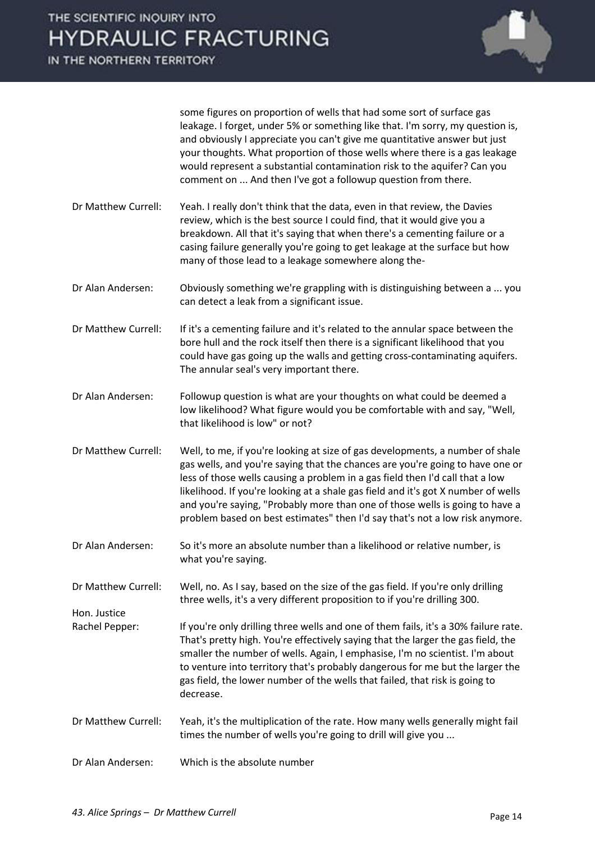

some figures on proportion of wells that had some sort of surface gas leakage. I forget, under 5% or something like that. I'm sorry, my question is, and obviously I appreciate you can't give me quantitative answer but just your thoughts. What proportion of those wells where there is a gas leakage would represent a substantial contamination risk to the aquifer? Can you comment on ... And then I've got a followup question from there.

Dr Matthew Currell: Yeah. I really don't think that the data, even in that review, the Davies review, which is the best source I could find, that it would give you a breakdown. All that it's saying that when there's a cementing failure or a casing failure generally you're going to get leakage at the surface but how many of those lead to a leakage somewhere along the-

Dr Alan Andersen: Obviously something we're grappling with is distinguishing between a ... you can detect a leak from a significant issue.

Dr Matthew Currell: If it's a cementing failure and it's related to the annular space between the bore hull and the rock itself then there is a significant likelihood that you could have gas going up the walls and getting cross-contaminating aquifers. The annular seal's very important there.

Dr Alan Andersen: Followup question is what are your thoughts on what could be deemed a low likelihood? What figure would you be comfortable with and say, "Well, that likelihood is low" or not?

Dr Matthew Currell: Well, to me, if you're looking at size of gas developments, a number of shale gas wells, and you're saying that the chances are you're going to have one or less of those wells causing a problem in a gas field then I'd call that a low likelihood. If you're looking at a shale gas field and it's got X number of wells and you're saying, "Probably more than one of those wells is going to have a problem based on best estimates" then I'd say that's not a low risk anymore.

Dr Alan Andersen: So it's more an absolute number than a likelihood or relative number, is what you're saying.

Dr Matthew Currell: Well, no. As I say, based on the size of the gas field. If you're only drilling three wells, it's a very different proposition to if you're drilling 300.

Hon. Justice Rachel Pepper: If you're only drilling three wells and one of them fails, it's a 30% failure rate.

That's pretty high. You're effectively saying that the larger the gas field, the smaller the number of wells. Again, I emphasise, I'm no scientist. I'm about to venture into territory that's probably dangerous for me but the larger the gas field, the lower number of the wells that failed, that risk is going to decrease.

- Dr Matthew Currell: Yeah, it's the multiplication of the rate. How many wells generally might fail times the number of wells you're going to drill will give you ...
- Dr Alan Andersen: Which is the absolute number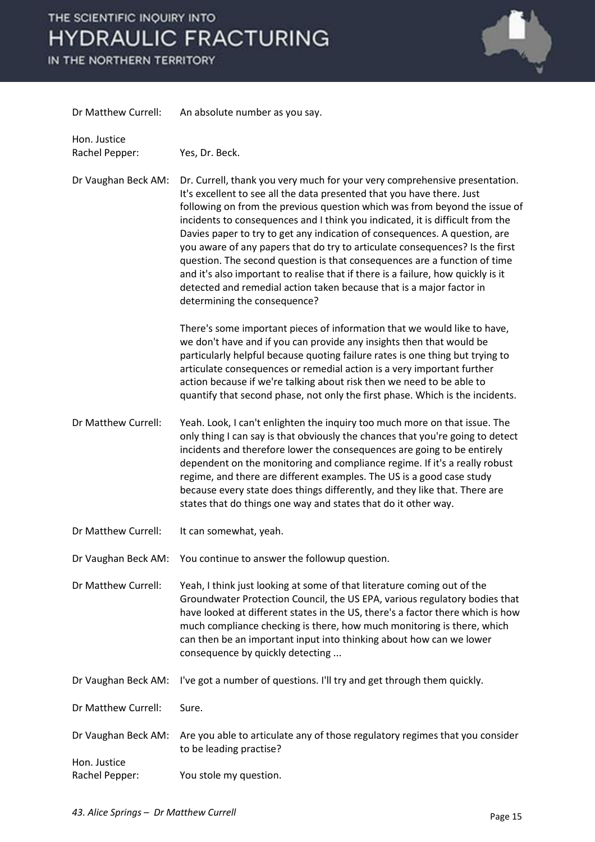

| Dr Matthew Currell:                 | An absolute number as you say.                                                                                                                                                                                                                                                                                                                                                                                                                                                                                                                                                                                                                                                                                                                             |
|-------------------------------------|------------------------------------------------------------------------------------------------------------------------------------------------------------------------------------------------------------------------------------------------------------------------------------------------------------------------------------------------------------------------------------------------------------------------------------------------------------------------------------------------------------------------------------------------------------------------------------------------------------------------------------------------------------------------------------------------------------------------------------------------------------|
| Hon. Justice<br>Rachel Pepper:      | Yes, Dr. Beck.                                                                                                                                                                                                                                                                                                                                                                                                                                                                                                                                                                                                                                                                                                                                             |
| Dr Vaughan Beck AM:                 | Dr. Currell, thank you very much for your very comprehensive presentation.<br>It's excellent to see all the data presented that you have there. Just<br>following on from the previous question which was from beyond the issue of<br>incidents to consequences and I think you indicated, it is difficult from the<br>Davies paper to try to get any indication of consequences. A question, are<br>you aware of any papers that do try to articulate consequences? Is the first<br>question. The second question is that consequences are a function of time<br>and it's also important to realise that if there is a failure, how quickly is it<br>detected and remedial action taken because that is a major factor in<br>determining the consequence? |
|                                     | There's some important pieces of information that we would like to have,<br>we don't have and if you can provide any insights then that would be<br>particularly helpful because quoting failure rates is one thing but trying to<br>articulate consequences or remedial action is a very important further<br>action because if we're talking about risk then we need to be able to<br>quantify that second phase, not only the first phase. Which is the incidents.                                                                                                                                                                                                                                                                                      |
| Dr Matthew Currell:                 | Yeah. Look, I can't enlighten the inquiry too much more on that issue. The<br>only thing I can say is that obviously the chances that you're going to detect<br>incidents and therefore lower the consequences are going to be entirely<br>dependent on the monitoring and compliance regime. If it's a really robust<br>regime, and there are different examples. The US is a good case study<br>because every state does things differently, and they like that. There are<br>states that do things one way and states that do it other way.                                                                                                                                                                                                             |
| Dr Matthew Currell:                 | It can somewhat, yeah.                                                                                                                                                                                                                                                                                                                                                                                                                                                                                                                                                                                                                                                                                                                                     |
| Dr Vaughan Beck AM:                 | You continue to answer the followup question.                                                                                                                                                                                                                                                                                                                                                                                                                                                                                                                                                                                                                                                                                                              |
| Dr Matthew Currell:                 | Yeah, I think just looking at some of that literature coming out of the<br>Groundwater Protection Council, the US EPA, various regulatory bodies that<br>have looked at different states in the US, there's a factor there which is how<br>much compliance checking is there, how much monitoring is there, which<br>can then be an important input into thinking about how can we lower<br>consequence by quickly detecting                                                                                                                                                                                                                                                                                                                               |
| Dr Vaughan Beck AM:                 | I've got a number of questions. I'll try and get through them quickly.                                                                                                                                                                                                                                                                                                                                                                                                                                                                                                                                                                                                                                                                                     |
| Dr Matthew Currell:                 | Sure.                                                                                                                                                                                                                                                                                                                                                                                                                                                                                                                                                                                                                                                                                                                                                      |
| Dr Vaughan Beck AM:<br>Hon. Justice | Are you able to articulate any of those regulatory regimes that you consider<br>to be leading practise?                                                                                                                                                                                                                                                                                                                                                                                                                                                                                                                                                                                                                                                    |
| Rachel Pepper:                      | You stole my question.                                                                                                                                                                                                                                                                                                                                                                                                                                                                                                                                                                                                                                                                                                                                     |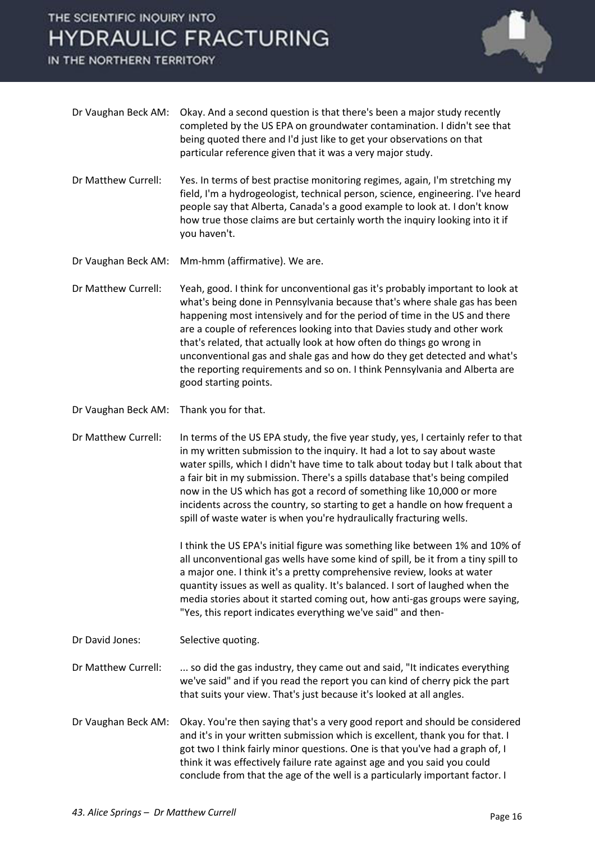IN THE NORTHERN TERRITORY



|                     | completed by the US EPA on groundwater contamination. I didn't see that<br>being quoted there and I'd just like to get your observations on that<br>particular reference given that it was a very major study.                                                                                                                                                                                                                                                                                                                                                                  |
|---------------------|---------------------------------------------------------------------------------------------------------------------------------------------------------------------------------------------------------------------------------------------------------------------------------------------------------------------------------------------------------------------------------------------------------------------------------------------------------------------------------------------------------------------------------------------------------------------------------|
| Dr Matthew Currell: | Yes. In terms of best practise monitoring regimes, again, I'm stretching my<br>field, I'm a hydrogeologist, technical person, science, engineering. I've heard<br>people say that Alberta, Canada's a good example to look at. I don't know<br>how true those claims are but certainly worth the inquiry looking into it if<br>you haven't.                                                                                                                                                                                                                                     |
| Dr Vaughan Beck AM: | Mm-hmm (affirmative). We are.                                                                                                                                                                                                                                                                                                                                                                                                                                                                                                                                                   |
| Dr Matthew Currell: | Yeah, good. I think for unconventional gas it's probably important to look at<br>what's being done in Pennsylvania because that's where shale gas has been<br>happening most intensively and for the period of time in the US and there<br>are a couple of references looking into that Davies study and other work<br>that's related, that actually look at how often do things go wrong in<br>unconventional gas and shale gas and how do they get detected and what's<br>the reporting requirements and so on. I think Pennsylvania and Alberta are<br>good starting points. |
| Dr Vaughan Beck AM: | Thank you for that.                                                                                                                                                                                                                                                                                                                                                                                                                                                                                                                                                             |
| Dr Matthew Currell: | In terms of the US EPA study, the five year study, yes, I certainly refer to that<br>in my written submission to the inquiry. It had a lot to say about waste<br>water spills, which I didn't have time to talk about today but I talk about that<br>a fair bit in my submission. There's a spills database that's being compiled<br>now in the US which has got a record of something like 10,000 or more<br>incidents across the country, so starting to get a handle on how frequent a<br>spill of waste water is when you're hydraulically fracturing wells.                |
|                     | I think the US EPA's initial figure was something like between 1% and 10% of<br>all unconventional gas wells have some kind of spill, be it from a tiny spill to<br>a major one. I think it's a pretty comprehensive review, looks at water<br>quantity issues as well as quality. It's balanced. I sort of laughed when the<br>media stories about it started coming out, how anti-gas groups were saying,<br>"Yes, this report indicates everything we've said" and then-                                                                                                     |
| Dr David Jones:     | Selective quoting.                                                                                                                                                                                                                                                                                                                                                                                                                                                                                                                                                              |
| Dr Matthew Currell: | so did the gas industry, they came out and said, "It indicates everything<br>we've said" and if you read the report you can kind of cherry pick the part<br>that suits your view. That's just because it's looked at all angles.                                                                                                                                                                                                                                                                                                                                                |
| Dr Vaughan Beck AM: | Okay. You're then saying that's a very good report and should be considered<br>and it's in your written submission which is excellent, thank you for that. I<br>got two I think fairly minor questions. One is that you've had a graph of, I<br>think it was effectively failure rate against age and you said you could<br>conclude from that the age of the well is a particularly important factor. I                                                                                                                                                                        |

Dr Vaughan Beck AM: Okay. And a second question is that there's been a major study recently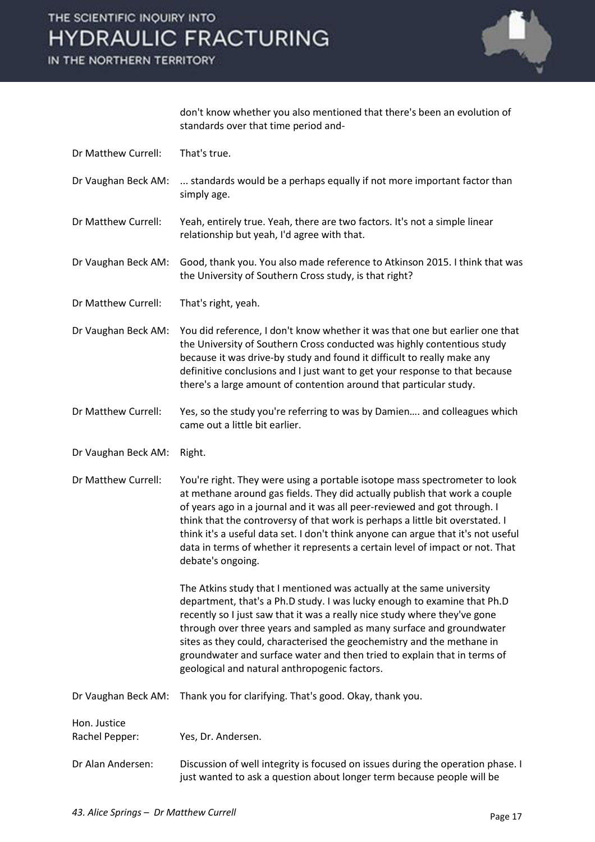

don't know whether you also mentioned that there's been an evolution of standards over that time period and-

- Dr Matthew Currell: That's true.
- Dr Vaughan Beck AM: ... standards would be a perhaps equally if not more important factor than simply age.
- Dr Matthew Currell: Yeah, entirely true. Yeah, there are two factors. It's not a simple linear relationship but yeah, I'd agree with that.
- Dr Vaughan Beck AM: Good, thank you. You also made reference to Atkinson 2015. I think that was the University of Southern Cross study, is that right?
- Dr Matthew Currell: That's right, yeah.
- Dr Vaughan Beck AM: You did reference, I don't know whether it was that one but earlier one that the University of Southern Cross conducted was highly contentious study because it was drive-by study and found it difficult to really make any definitive conclusions and I just want to get your response to that because there's a large amount of contention around that particular study.
- Dr Matthew Currell: Yes, so the study you're referring to was by Damien.... and colleagues which came out a little bit earlier.
- Dr Vaughan Beck AM: Right.
- Dr Matthew Currell: You're right. They were using a portable isotope mass spectrometer to look at methane around gas fields. They did actually publish that work a couple of years ago in a journal and it was all peer-reviewed and got through. I think that the controversy of that work is perhaps a little bit overstated. I think it's a useful data set. I don't think anyone can argue that it's not useful data in terms of whether it represents a certain level of impact or not. That debate's ongoing.

 The Atkins study that I mentioned was actually at the same university department, that's a Ph.D study. I was lucky enough to examine that Ph.D recently so I just saw that it was a really nice study where they've gone through over three years and sampled as many surface and groundwater sites as they could, characterised the geochemistry and the methane in groundwater and surface water and then tried to explain that in terms of geological and natural anthropogenic factors.

Dr Vaughan Beck AM: Thank you for clarifying. That's good. Okay, thank you.

Hon. Justice Rachel Pepper: Yes, Dr. Andersen.

Dr Alan Andersen: Discussion of well integrity is focused on issues during the operation phase. I just wanted to ask a question about longer term because people will be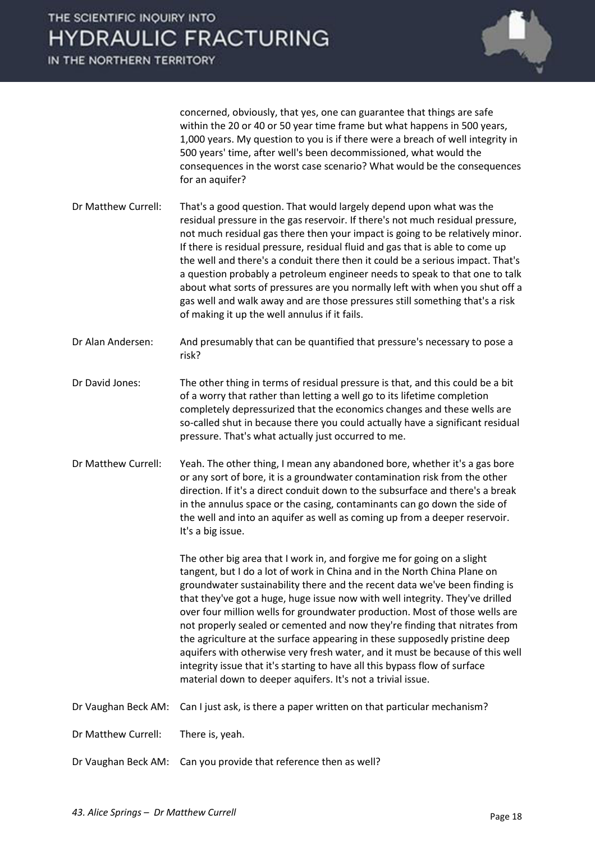concerned, obviously, that yes, one can guarantee that things are safe within the 20 or 40 or 50 year time frame but what happens in 500 years, 1,000 years. My question to you is if there were a breach of well integrity in 500 years' time, after well's been decommissioned, what would the consequences in the worst case scenario? What would be the consequences for an aquifer?

- Dr Matthew Currell: That's a good question. That would largely depend upon what was the residual pressure in the gas reservoir. If there's not much residual pressure, not much residual gas there then your impact is going to be relatively minor. If there is residual pressure, residual fluid and gas that is able to come up the well and there's a conduit there then it could be a serious impact. That's a question probably a petroleum engineer needs to speak to that one to talk about what sorts of pressures are you normally left with when you shut off a gas well and walk away and are those pressures still something that's a risk of making it up the well annulus if it fails.
- Dr Alan Andersen: And presumably that can be quantified that pressure's necessary to pose a risk?
- Dr David Jones: The other thing in terms of residual pressure is that, and this could be a bit of a worry that rather than letting a well go to its lifetime completion completely depressurized that the economics changes and these wells are so-called shut in because there you could actually have a significant residual pressure. That's what actually just occurred to me.
- Dr Matthew Currell: Yeah. The other thing, I mean any abandoned bore, whether it's a gas bore or any sort of bore, it is a groundwater contamination risk from the other direction. If it's a direct conduit down to the subsurface and there's a break in the annulus space or the casing, contaminants can go down the side of the well and into an aquifer as well as coming up from a deeper reservoir. It's a big issue.

 The other big area that I work in, and forgive me for going on a slight tangent, but I do a lot of work in China and in the North China Plane on groundwater sustainability there and the recent data we've been finding is that they've got a huge, huge issue now with well integrity. They've drilled over four million wells for groundwater production. Most of those wells are not properly sealed or cemented and now they're finding that nitrates from the agriculture at the surface appearing in these supposedly pristine deep aquifers with otherwise very fresh water, and it must be because of this well integrity issue that it's starting to have all this bypass flow of surface material down to deeper aquifers. It's not a trivial issue.

Dr Vaughan Beck AM: Can I just ask, is there a paper written on that particular mechanism?

Dr Matthew Currell: There is, yeah.

Dr Vaughan Beck AM: Can you provide that reference then as well?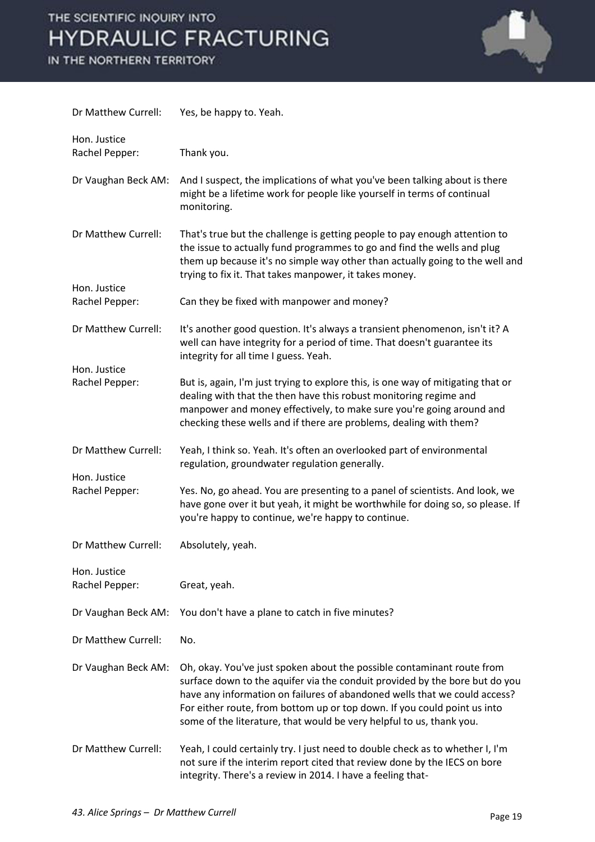

| Dr Matthew Currell:            | Yes, be happy to. Yeah.                                                                                                                                                                                                                                                                                                                                                                |
|--------------------------------|----------------------------------------------------------------------------------------------------------------------------------------------------------------------------------------------------------------------------------------------------------------------------------------------------------------------------------------------------------------------------------------|
| Hon. Justice<br>Rachel Pepper: | Thank you.                                                                                                                                                                                                                                                                                                                                                                             |
| Dr Vaughan Beck AM:            | And I suspect, the implications of what you've been talking about is there<br>might be a lifetime work for people like yourself in terms of continual<br>monitoring.                                                                                                                                                                                                                   |
| Dr Matthew Currell:            | That's true but the challenge is getting people to pay enough attention to<br>the issue to actually fund programmes to go and find the wells and plug<br>them up because it's no simple way other than actually going to the well and<br>trying to fix it. That takes manpower, it takes money.                                                                                        |
| Hon. Justice<br>Rachel Pepper: | Can they be fixed with manpower and money?                                                                                                                                                                                                                                                                                                                                             |
| Dr Matthew Currell:            | It's another good question. It's always a transient phenomenon, isn't it? A<br>well can have integrity for a period of time. That doesn't guarantee its<br>integrity for all time I guess. Yeah.                                                                                                                                                                                       |
| Hon. Justice<br>Rachel Pepper: | But is, again, I'm just trying to explore this, is one way of mitigating that or<br>dealing with that the then have this robust monitoring regime and<br>manpower and money effectively, to make sure you're going around and<br>checking these wells and if there are problems, dealing with them?                                                                                    |
| Dr Matthew Currell:            | Yeah, I think so. Yeah. It's often an overlooked part of environmental<br>regulation, groundwater regulation generally.                                                                                                                                                                                                                                                                |
| Hon. Justice<br>Rachel Pepper: | Yes. No, go ahead. You are presenting to a panel of scientists. And look, we<br>have gone over it but yeah, it might be worthwhile for doing so, so please. If<br>you're happy to continue, we're happy to continue.                                                                                                                                                                   |
| Dr Matthew Currell:            | Absolutely, yeah.                                                                                                                                                                                                                                                                                                                                                                      |
| Hon. Justice<br>Rachel Pepper: | Great, yeah.                                                                                                                                                                                                                                                                                                                                                                           |
| Dr Vaughan Beck AM:            | You don't have a plane to catch in five minutes?                                                                                                                                                                                                                                                                                                                                       |
| Dr Matthew Currell:            | No.                                                                                                                                                                                                                                                                                                                                                                                    |
| Dr Vaughan Beck AM:            | Oh, okay. You've just spoken about the possible contaminant route from<br>surface down to the aquifer via the conduit provided by the bore but do you<br>have any information on failures of abandoned wells that we could access?<br>For either route, from bottom up or top down. If you could point us into<br>some of the literature, that would be very helpful to us, thank you. |
| Dr Matthew Currell:            | Yeah, I could certainly try. I just need to double check as to whether I, I'm<br>not sure if the interim report cited that review done by the IECS on bore<br>integrity. There's a review in 2014. I have a feeling that-                                                                                                                                                              |